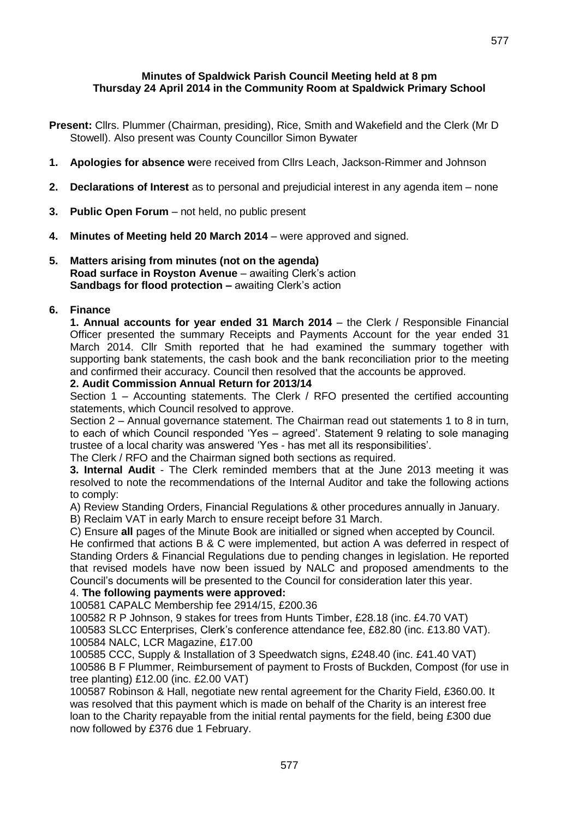# **Minutes of Spaldwick Parish Council Meeting held at 8 pm Thursday 24 April 2014 in the Community Room at Spaldwick Primary School**

- **Present:** Cllrs. Plummer (Chairman, presiding), Rice, Smith and Wakefield and the Clerk (Mr D Stowell). Also present was County Councillor Simon Bywater
- **1. Apologies for absence w**ere received from Cllrs Leach, Jackson-Rimmer and Johnson
- **2. Declarations of Interest** as to personal and prejudicial interest in any agenda item none
- **3. Public Open Forum** not held, no public present
- **4. Minutes of Meeting held 20 March 2014**  were approved and signed.
- **5. Matters arising from minutes (not on the agenda) Road surface in Royston Avenue** – awaiting Clerk's action **Sandbags for flood protection – awaiting Clerk's action**

# **6. Finance**

**1. Annual accounts for year ended 31 March 2014** – the Clerk / Responsible Financial Officer presented the summary Receipts and Payments Account for the year ended 31 March 2014. Cllr Smith reported that he had examined the summary together with supporting bank statements, the cash book and the bank reconciliation prior to the meeting and confirmed their accuracy. Council then resolved that the accounts be approved.

#### **2. Audit Commission Annual Return for 2013/14**

Section 1 – Accounting statements. The Clerk / RFO presented the certified accounting statements, which Council resolved to approve.

Section 2 – Annual governance statement. The Chairman read out statements 1 to 8 in turn, to each of which Council responded 'Yes – agreed'. Statement 9 relating to sole managing trustee of a local charity was answered 'Yes - has met all its responsibilities'.

The Clerk / RFO and the Chairman signed both sections as required.

**3. Internal Audit** - The Clerk reminded members that at the June 2013 meeting it was resolved to note the recommendations of the Internal Auditor and take the following actions to comply:

A) Review Standing Orders, Financial Regulations & other procedures annually in January.

B) Reclaim VAT in early March to ensure receipt before 31 March.

C) Ensure **all** pages of the Minute Book are initialled or signed when accepted by Council.

He confirmed that actions B & C were implemented, but action A was deferred in respect of Standing Orders & Financial Regulations due to pending changes in legislation. He reported that revised models have now been issued by NALC and proposed amendments to the Council's documents will be presented to the Council for consideration later this year.

# 4. **The following payments were approved:**

100581 CAPALC Membership fee 2914/15, £200.36

100582 R P Johnson, 9 stakes for trees from Hunts Timber, £28.18 (inc. £4.70 VAT)

100583 SLCC Enterprises, Clerk's conference attendance fee, £82.80 (inc. £13.80 VAT). 100584 NALC, LCR Magazine, £17.00

100585 CCC, Supply & Installation of 3 Speedwatch signs, £248.40 (inc. £41.40 VAT)

100586 B F Plummer, Reimbursement of payment to Frosts of Buckden, Compost (for use in tree planting) £12.00 (inc. £2.00 VAT)

100587 Robinson & Hall, negotiate new rental agreement for the Charity Field, £360.00. It was resolved that this payment which is made on behalf of the Charity is an interest free loan to the Charity repayable from the initial rental payments for the field, being £300 due now followed by £376 due 1 February.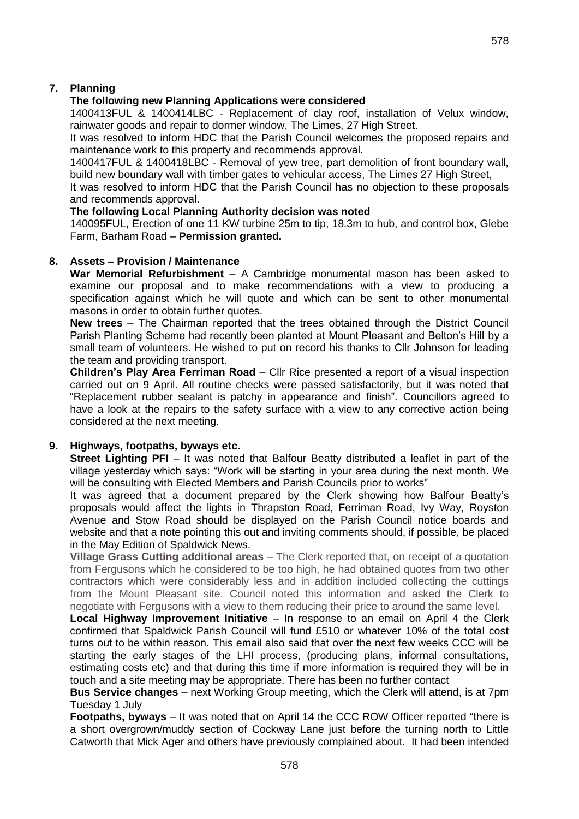# **7. Planning**

# **The following new Planning Applications were considered**

1400413FUL & 1400414LBC - [Replacement of clay roof, installation of Velux window,](http://publicaccess.huntsdc.gov.uk/online-applications/applicationDetails.do?activeTab=summary&keyVal=N2MUS5IK00S00)  [rainwater goods and repair to dormer window,](http://publicaccess.huntsdc.gov.uk/online-applications/applicationDetails.do?activeTab=summary&keyVal=N2MUS5IK00S00) The Limes, 27 High Street.

It was resolved to inform HDC that the Parish Council welcomes the proposed repairs and maintenance work to this property and recommends approval.

1400417FUL & 1400418LBC - Removal of yew tree, part demolition of front boundary wall, build new boundary wall with timber gates to vehicular access, The Limes 27 High Street,

It was resolved to inform HDC that the Parish Council has no objection to these proposals and recommends approval.

#### **The following Local Planning Authority decision was noted**

140095FUL, Erection of one 11 KW turbine 25m to tip, 18.3m to hub, and control box, Glebe Farm, Barham Road – **Permission granted.**

### **8. Assets – Provision / Maintenance**

**War Memorial Refurbishment** – A Cambridge monumental mason has been asked to examine our proposal and to make recommendations with a view to producing a specification against which he will quote and which can be sent to other monumental masons in order to obtain further quotes.

**New trees** – The Chairman reported that the trees obtained through the District Council Parish Planting Scheme had recently been planted at Mount Pleasant and Belton's Hill by a small team of volunteers. He wished to put on record his thanks to Cllr Johnson for leading the team and providing transport.

**Children's Play Area Ferriman Road** – Cllr Rice presented a report of a visual inspection carried out on 9 April. All routine checks were passed satisfactorily, but it was noted that "Replacement rubber sealant is patchy in appearance and finish". Councillors agreed to have a look at the repairs to the safety surface with a view to any corrective action being considered at the next meeting.

# **9. Highways, footpaths, byways etc.**

**Street Lighting PFI** – It was noted that Balfour Beatty distributed a leaflet in part of the village yesterday which says: "Work will be starting in your area during the next month. We will be consulting with Elected Members and Parish Councils prior to works"

It was agreed that a document prepared by the Clerk showing how Balfour Beatty's proposals would affect the lights in Thrapston Road, Ferriman Road, Ivy Way, Royston Avenue and Stow Road should be displayed on the Parish Council notice boards and website and that a note pointing this out and inviting comments should, if possible, be placed in the May Edition of Spaldwick News.

**Village Grass Cutting additional areas** – The Clerk reported that, on receipt of a quotation from Fergusons which he considered to be too high, he had obtained quotes from two other contractors which were considerably less and in addition included collecting the cuttings from the Mount Pleasant site. Council noted this information and asked the Clerk to negotiate with Fergusons with a view to them reducing their price to around the same level.

**Local Highway Improvement Initiative** – In response to an email on April 4 the Clerk confirmed that Spaldwick Parish Council will fund £510 or whatever 10% of the total cost turns out to be within reason. This email also said that over the next few weeks CCC will be starting the early stages of the LHI process, (producing plans, informal consultations, estimating costs etc) and that during this time if more information is required they will be in touch and a site meeting may be appropriate. There has been no further contact

**Bus Service changes** – next Working Group meeting, which the Clerk will attend, is at 7pm Tuesday 1 July

**Footpaths, byways** – It was noted that on April 14 the CCC ROW Officer reported "there is a short overgrown/muddy section of Cockway Lane just before the turning north to Little Catworth that Mick Ager and others have previously complained about. It had been intended